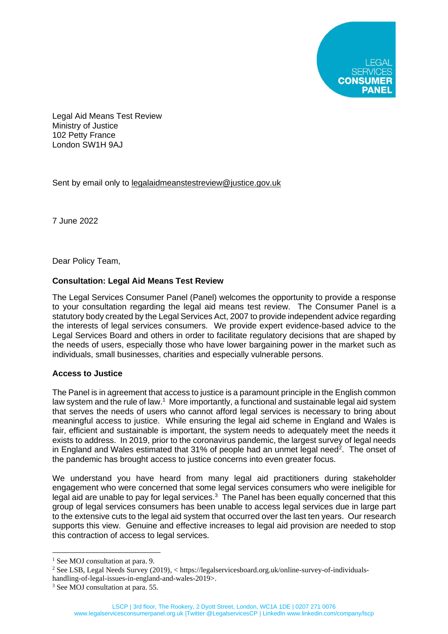Legal Aid Means Test Review Ministry of Justice 102 Petty France London SW1H 9AJ

Sent by email only to [legalaidmeanstestreview@justice.gov.uk](mailto:legalaidmeanstestreview@justice.gov.uk)

7 June 2022

Dear Policy Team,

## **Consultation: Legal Aid Means Test Review**

The Legal Services Consumer Panel (Panel) welcomes the opportunity to provide a response to your consultation regarding the legal aid means test review. The Consumer Panel is a statutory body created by the Legal Services Act, 2007 to provide independent advice regarding the interests of legal services consumers. We provide expert evidence-based advice to the Legal Services Board and others in order to facilitate regulatory decisions that are shaped by the needs of users, especially those who have lower bargaining power in the market such as individuals, small businesses, charities and especially vulnerable persons.

## **Access to Justice**

The Panel is in agreement that access to justice is a paramount principle in the English common law system and the rule of law.<sup>1</sup> More importantly, a functional and sustainable legal aid system that serves the needs of users who cannot afford legal services is necessary to bring about meaningful access to justice. While ensuring the legal aid scheme in England and Wales is fair, efficient and sustainable is important, the system needs to adequately meet the needs it exists to address. In 2019, prior to the coronavirus pandemic, the largest survey of legal needs in England and Wales estimated that 31% of people had an unmet legal need<sup>2</sup>. The onset of the pandemic has brought access to justice concerns into even greater focus.

We understand you have heard from many legal aid practitioners during stakeholder engagement who were concerned that some legal services consumers who were ineligible for legal aid are unable to pay for legal services. $3$  The Panel has been equally concerned that this group of legal services consumers has been unable to access legal services due in large part to the extensive cuts to the legal aid system that occurred over the last ten years. Our research supports this view. Genuine and effective increases to legal aid provision are needed to stop this contraction of access to legal services.

<sup>&</sup>lt;sup>1</sup> See MOJ consultation at para. 9.

<sup>2</sup> See LSB, Legal Needs Survey (2019), < https://legalservicesboard.org.uk/online-survey-of-individuals-

handling-of-legal-issues-in-england-and-wales-2019>.

<sup>&</sup>lt;sup>3</sup> See MOJ consultation at para. 55.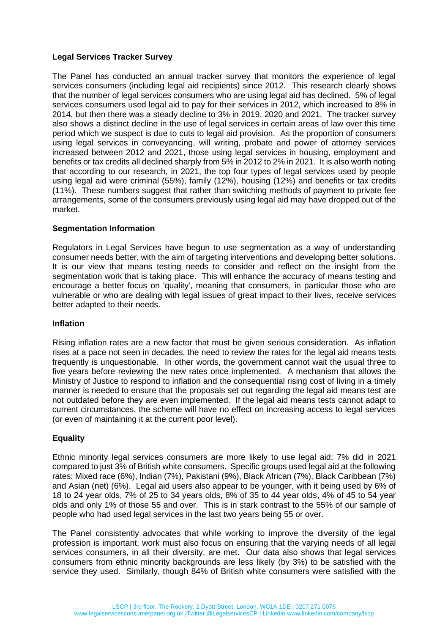## **Legal Services Tracker Survey**

The Panel has conducted an annual tracker survey that monitors the experience of legal services consumers (including legal aid recipients) since 2012. This research clearly shows that the number of legal services consumers who are using legal aid has declined. 5% of legal services consumers used legal aid to pay for their services in 2012, which increased to 8% in 2014, but then there was a steady decline to 3% in 2019, 2020 and 2021. The tracker survey also shows a distinct decline in the use of legal services in certain areas of law over this time period which we suspect is due to cuts to legal aid provision. As the proportion of consumers using legal services in conveyancing, will writing, probate and power of attorney services increased between 2012 and 2021, those using legal services in housing, employment and benefits or tax credits all declined sharply from 5% in 2012 to 2% in 2021. It is also worth noting that according to our research, in 2021, the top four types of legal services used by people using legal aid were criminal (55%), family (12%), housing (12%) and benefits or tax credits (11%). These numbers suggest that rather than switching methods of payment to private fee arrangements, some of the consumers previously using legal aid may have dropped out of the market.

# **Segmentation Information**

Regulators in Legal Services have begun to use segmentation as a way of understanding consumer needs better, with the aim of targeting interventions and developing better solutions. It is our view that means testing needs to consider and reflect on the insight from the segmentation work that is taking place. This will enhance the accuracy of means testing and encourage a better focus on 'quality', meaning that consumers, in particular those who are vulnerable or who are dealing with legal issues of great impact to their lives, receive services better adapted to their needs.

## **Inflation**

Rising inflation rates are a new factor that must be given serious consideration. As inflation rises at a pace not seen in decades, the need to review the rates for the legal aid means tests frequently is unquestionable. In other words, the government cannot wait the usual three to five years before reviewing the new rates once implemented. A mechanism that allows the Ministry of Justice to respond to inflation and the consequential rising cost of living in a timely manner is needed to ensure that the proposals set out regarding the legal aid means test are not outdated before they are even implemented. If the legal aid means tests cannot adapt to current circumstances, the scheme will have no effect on increasing access to legal services (or even of maintaining it at the current poor level).

## **Equality**

Ethnic minority legal services consumers are more likely to use legal aid; 7% did in 2021 compared to just 3% of British white consumers. Specific groups used legal aid at the following rates: Mixed race (6%), Indian (7%), Pakistani (9%), Black African (7%), Black Caribbean (7%) and Asian (net) (6%). Legal aid users also appear to be younger, with it being used by 6% of 18 to 24 year olds, 7% of 25 to 34 years olds, 8% of 35 to 44 year olds, 4% of 45 to 54 year olds and only 1% of those 55 and over. This is in stark contrast to the 55% of our sample of people who had used legal services in the last two years being 55 or over.

The Panel consistently advocates that while working to improve the diversity of the legal profession is important, work must also focus on ensuring that the varying needs of all legal services consumers, in all their diversity, are met. Our data also shows that legal services consumers from ethnic minority backgrounds are less likely (by 3%) to be satisfied with the service they used. Similarly, though 84% of British white consumers were satisfied with the